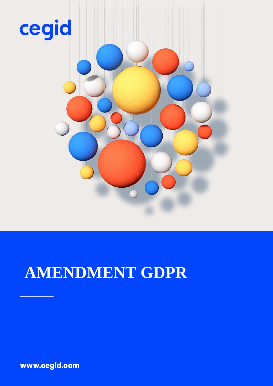

# **AMENDMENT GDPR**

www.cegid.com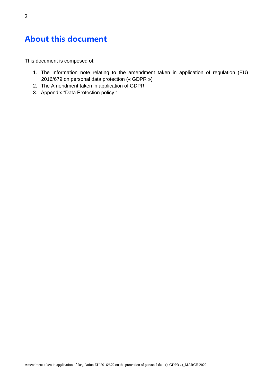# **About this document**

This document is composed of:

- 1. The Information note relating to the amendment taken in application of regulation (EU) 2016/679 on personal data protection (« GDPR »)
- 2. The Amendment taken in application of GDPR
- 3. Appendix "Data Protection policy "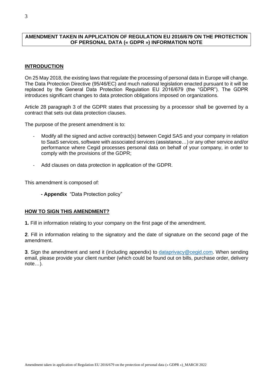#### **AMENDMENT TAKEN IN APPLICATION OF REGULATION EU 2016/679 ON THE PROTECTION OF PERSONAL DATA (« GDPR ») INFORMATION NOTE**

#### **INTRODUCTION**

On 25 May 2018, the existing laws that regulate the processing of personal data in Europe will change. The Data Protection Directive (95/46/EC) and much national legislation enacted pursuant to it will be replaced by the General Data Protection Regulation EU 2016/679 (the "GDPR"). The GDPR introduces significant changes to data protection obligations imposed on organizations.

Article 28 paragraph 3 of the GDPR states that processing by a processor shall be governed by a contract that sets out data protection clauses.

The purpose of the present amendment is to:

- Modify all the signed and active contract(s) between Cegid SAS and your company in relation to SaaS services, software with associated services (assistance…) or any other service and/or performance where Cegid processes personal data on behalf of your company, in order to comply with the provisions of the GDPR;
- Add clauses on data protection in application of the GDPR.

This amendment is composed of:

**- Appendix** "Data Protection policy"

#### **HOW TO SIGN THIS AMENDMENT?**

**1.** Fill in information relating to your company on the first page of the amendment.

**2**. Fill in information relating to the signatory and the date of signature on the second page of the amendment.

**3**. Sign the amendment and send it (including appendix) to [dataprivacy@cegid.com.](mailto:dataprivacy@cegid.com) When sending email, please provide your client number (which could be found out on bills, purchase order, delivery note…).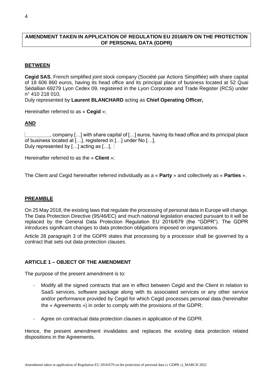#### **AMENDMENT TAKEN IN APPLICATION OF REGULATION EU 2016/679 ON THE PROTECTION OF PERSONAL DATA (GDPR)**

#### **BETWEEN**

**Cegid SAS**, French simplified joint stock company (Société par Actions Simplifiée) with share capital of 18 606 860 euros, having its head office and its principal place of business located at 52 Quai Sédallian 69279 Lyon Cedex 09, registered in the Lyon Corporate and Trade Register (RCS) under n° 410 218 010,

Duly represented by **Laurent BLANCHARD** acting as **Chief Operating Officer,**

Hereinafter referred to as « **Cegid** »;

#### **AND**

**\_\_\_\_\_\_\_\_\_**, company […] with share capital of […] euros, having its head office and its principal place of business located at […], registered in […] under No […], Duly represented by [...] acting as [...],

Hereinafter referred to as the « **Client** »;

The Client and Cegid hereinafter referred individually as a « **Party** » and collectively as « **Parties** ».

#### **PREAMBLE**

On 25 May 2018, the existing laws that regulate the processing of personal data in Europe will change. The Data Protection Directive (95/46/EC) and much national legislation enacted pursuant to it will be replaced by the General Data Protection Regulation EU 2016/679 (the "GDPR"). The GDPR introduces significant changes to data protection obligations imposed on organizations.

Article 28 paragraph 3 of the GDPR states that processing by a processor shall be governed by a contract that sets out data protection clauses.

#### **ARTICLE 1 – OBJECT OF THE AMENDMENT**

The purpose of the present amendment is to:

- Modify all the signed contracts that are in effect between Cegid and the Client in relation to SaaS services, software package along with its associated services or any other service and/or performance provided by Cegid for which Cegid processes personal data (hereinafter the « Agreements ») in order to comply with the provisions of the GDPR;
- Agree on contractual data protection clauses in application of the GDPR.

Hence, the present amendment invalidates and replaces the existing data protection related dispositions in the Agreements.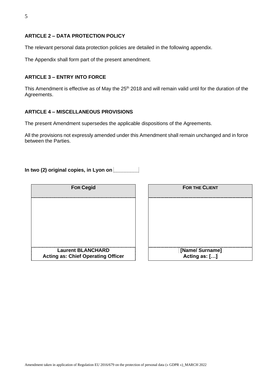#### **ARTICLE 2 – DATA PROTECTION POLICY**

The relevant personal data protection policies are detailed in the following appendix.

The Appendix shall form part of the present amendment.

#### **ARTICLE 3 – ENTRY INTO FORCE**

This Amendment is effective as of May the 25<sup>th</sup> 2018 and will remain valid until for the duration of the Agreements.

#### **ARTICLE 4 – MISCELLANEOUS PROVISIONS**

The present Amendment supersedes the applicable dispositions of the Agreements.

All the provisions not expressly amended under this Amendment shall remain unchanged and in force between the Parties.

**In two (2) original copies, in Lyon on \_\_\_\_\_\_\_\_\_**

| <b>For Cegid</b>                                                      | <b>FOR THE CLIENT</b>            |
|-----------------------------------------------------------------------|----------------------------------|
|                                                                       |                                  |
|                                                                       |                                  |
|                                                                       |                                  |
|                                                                       |                                  |
| <b>Laurent BLANCHARD</b><br><b>Acting as: Chief Operating Officer</b> | [Name/ Surname]<br>Acting as: [] |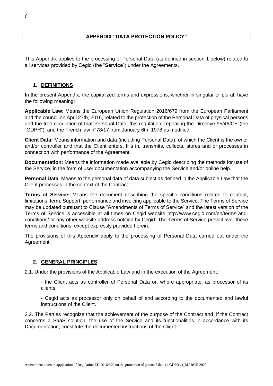This Appendix applies to the processing of Personal Data (as defined in section 1 below) related to all services provided by Cegid (the "**Service**") under the Agreements.

# **1. DEFINITIONS**

In the present Appendix, the capitalized terms and expressions, whether in singular or plural, have the following meaning:

**Applicable Law**: Means the European Union Regulation 2016/679 from the European Parliament and the council on April 27th, 2016, related to the protection of the Personal Data of physical persons and the free circulation of that Personal Data, this regulation, repealing the Directive 95/46/CE (the "GDPR"), and the French law n°78/17 from January 6th, 1978 as modified.

**Client Data:** Means information and data (including Personal Data), of which the Client is the owner and/or controller and that the Client enters, fills in, transmits, collects, stores and or processes in connection with performance of the Agreement.

**Documentation:** Means the information made available by Cegid describing the methods for use of the Service, in the form of user documentation accompanying the Service and/or online help.

**Personal Data**: Means to the personal data of data subject as defined in the Applicable Law that the Client processes in the context of the Contract.

**Terms of Service:** Means the document describing the specific conditions related to content, limitations, term, Support, performance and invoicing applicable to the Service. The Terms of Service may be updated pursuant to Clause "Amendments of Terms of Service" and the latest version of the Terms of Service is accessible at all times on Cegid website http://www.cegid.com/en/terms-andconditions/ or any other website address notified by Cegid. The Terms of Service prevail over these terms and conditions, except expressly provided herein.

The provisions of this Appendix apply to the processing of Personal Data carried out under the Agreement.

# **2. GENERAL PRINCIPLES**

2.1. Under the provisions of the Applicable Law and in the execution of the Agreement:

- the Client acts as controller of Personal Data or, where appropriate, as processor of its clients;

- Cegid acts as processor only on behalf of and according to the documented and lawful instructions of the Client.

2.2. The Parties recognize that the achievement of the purpose of the Contract and, if the Contract concerns a SaaS solution, the use of the Service and its functionalities in accordance with its Documentation, constitute the documented instructions of the Client.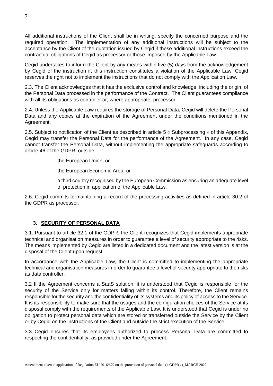All additional instructions of the Client shall be in writing, specify the concerned purpose and the required operation. The implementation of any additional instructions will be subject to the acceptance by the Client of the quotation issued by Cegid if these additional instructions exceed the contractual obligations of Cegid as processor or those imposed by the Applicable Law.

Cegid undertakes to inform the Client by any means within five (5) days from the acknowledgement by Cegid of the instruction if, this instruction constitutes a violation of the Applicable Law. Cegid reserves the right not to implement the instructions that do not comply with the Application Law.

2.3. The Client acknowledges that it has the exclusive control and knowledge, including the origin, of the Personal Data processed in the performance of the Contract. The Client guarantees compliance with all its obligations as controller or, where appropriate, processor.

2.4. Unless the Applicable Law requires the storage of Personal Data, Cegid will delete the Personal Data and any copies at the expiration of the Agreement under the conditions mentioned in the Agreement.

2.5. Subject to notification of the Client as described in article 5 « Subprocessing » of this Appendix, Cegid may transfer the Personal Data for the performance of the Agreement. In any case, Cegid cannot transfer the Personal Data, without implementing the appropriate safeguards according to article 46 of the GDPR, outside:

- the European Union, or
- the European Economic Area, or
- a third country recognised by the European Commission as ensuring an adequate level of protection in application of the Applicable Law.

2.6. Cegid commits to maintaining a record of the processing activities as defined in article 30.2 of the GDPR as processor.

# **3. SECURITY OF PERSONAL DATA**

3.1. Pursuant to article 32.1 of the GDPR, the Client recognizes that Cegid implements appropriate technical and organisation measures in order to guarantee a level of security appropriate to the risks. The means implemented by Cegid are listed in a dedicated document and the latest version is at the disposal of the Client upon request.

In accordance with the Applicable Law, the Client is committed to implementing the appropriate technical and organisation measures in order to guarantee a level of security appropriate to the risks as data controller.

3.2 If the Agreement concerns a SaaS solution, it is understood that Cegid is responsible for the security of the Service only for matters falling within its control. Therefore, the Client remains responsible for the security and the confidentiality of its systems and its policy of access to the Service. It is its responsibility to make sure that the usages and the configuration choices of the Service at its disposal comply with the requirements of the Applicable Law. It is understood that Cegid is under no obligation to protect personal data which are stored or transferred outside the Service by the Client or by Cegid on the instructions of the Client and outside the strict execution of the Service.

3.3 Cegid ensures that its employees authorized to process Personal Data are committed to respecting the confidentiality, as provided under the Agreement.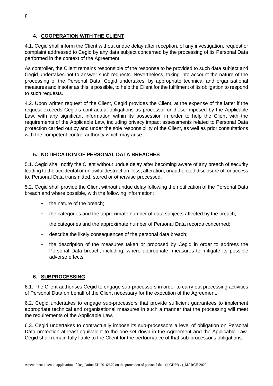# **4. COOPERATION WITH THE CLIENT**

4.1. Cegid shall inform the Client without undue delay after reception, of any investigation, request or complaint addressed to Cegid by any data subject concerned by the processing of its Personal Data performed in the context of the Agreement.

As controller, the Client remains responsible of the response to be provided to such data subject and Cegid undertakes not to answer such requests. Nevertheless, taking into account the nature of the processing of the Personal Data, Cegid undertakes, by appropriate technical and organisational measures and insofar as this is possible, to help the Client for the fulfilment of its obligation to respond to such requests.

4.2. Upon written request of the Client, Cegid provides the Client, at the expense of the latter if the request exceeds Cegid's contractual obligations as processor or those imposed by the Applicable Law, with any significant information within its possession in order to help the Client with the requirements of the Applicable Law, including privacy impact assessments related to Personal Data protection carried out by and under the sole responsibility of the Client, as well as prior consultations with the competent control authority which may arise.

# **5. NOTIFICATION OF PERSONAL DATA BREACHES**

5.1. Cegid shall notify the Client without undue delay after becoming aware of any breach of security leading to the accidental or unlawful destruction, loss, alteration, unauthorized disclosure of, or access to, Personal Data transmitted, stored or otherwise processed.

5.2. Cegid shall provide the Client without undue delay following the notification of the Personal Data breach and where possible, with the following information:

- the nature of the breach;
- the categories and the approximate number of data subjects affected by the breach;
- the categories and the approximate number of Personal Data records concerned;
- describe the likely consequences of the personal data breach;
- the description of the measures taken or proposed by Cegid in order to address the Personal Data breach, including, where appropriate, measures to mitigate its possible adverse effects.

#### **6. SUBPROCESSING**

6.1. The Client authorises Cegid to engage sub-processors in order to carry out processing activities of Personal Data on behalf of the Client necessary for the execution of the Agreement.

6.2. Cegid undertakes to engage sub-processors that provide sufficient guarantees to implement appropriate technical and organisational measures in such a manner that the processing will meet the requirements of the Applicable Law.

6.3. Cegid undertakes to contractually impose its sub-processors a level of obligation on Personal Data protection at least equivalent to the one set down in the Agreement and the Applicable Law. Cegid shall remain fully liable to the Client for the performance of that sub-processor's obligations.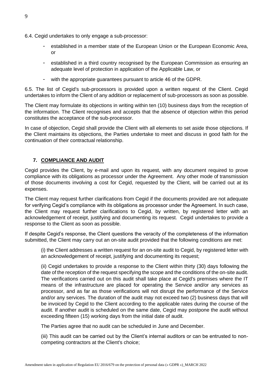- 6.4. Cegid undertakes to only engage a sub-processor:
	- established in a member state of the European Union or the European Economic Area, or
	- established in a third country recognised by the European Commission as ensuring an adequate level of protection in application of the Applicable Law, or
	- with the appropriate guarantees pursuant to article 46 of the GDPR.

6.5. The list of Cegid's sub-processors is provided upon a written request of the Client. Cegid undertakes to inform the Client of any addition or replacement of sub-processors as soon as possible.

The Client may formulate its objections in writing within ten (10) business days from the reception of the information. The Client recognises and accepts that the absence of objection within this period constitutes the acceptance of the sub-processor.

In case of objection, Cegid shall provide the Client with all elements to set aside those objections. If the Client maintains its objections, the Parties undertake to meet and discuss in good faith for the continuation of their contractual relationship.

### **7. COMPLIANCE AND AUDIT**

Cegid provides the Client, by e-mail and upon its request, with any document required to prove compliance with its obligations as processor under the Agreement. Any other mode of transmission of those documents involving a cost for Cegid, requested by the Client, will be carried out at its expenses.

The Client may request further clarifications from Cegid if the documents provided are not adequate for verifying Cegid's compliance with its obligations as processor under the Agreement. In such case, the Client may request further clarifications to Cegid, by written, by registered letter with an acknowledgement of receipt, justifying and documenting its request. Cegid undertakes to provide a response to the Client as soon as possible.

If despite Cegid's response, the Client questions the veracity of the completeness of the information submitted, the Client may carry out an on-site audit provided that the following conditions are met:

(i) the Client addresses a written request for an on-site audit to Cegid, by registered letter with an acknowledgement of receipt, justifying and documenting its request;

(ii) Cegid undertakes to provide a response to the Client within thirty (30) days following the date of the reception of the request specifying the scope and the conditions of the on-site audit. The verifications carried out on this audit shall take place at Cegid's premises where the IT means of the infrastructure are placed for operating the Service and/or any services as processor, and as far as those verifications will not disrupt the performance of the Service and/or any services. The duration of the audit may not exceed two (2) business days that will be invoiced by Cegid to the Client according to the applicable rates during the course of the audit. If another audit is scheduled on the same date, Cegid may postpone the audit without exceeding fifteen (15) working days from the initial date of audit.

The Parties agree that no audit can be scheduled in June and December.

(iii) This audit can be carried out by the Client's internal auditors or can be entrusted to noncompeting contractors at the Client's choice;